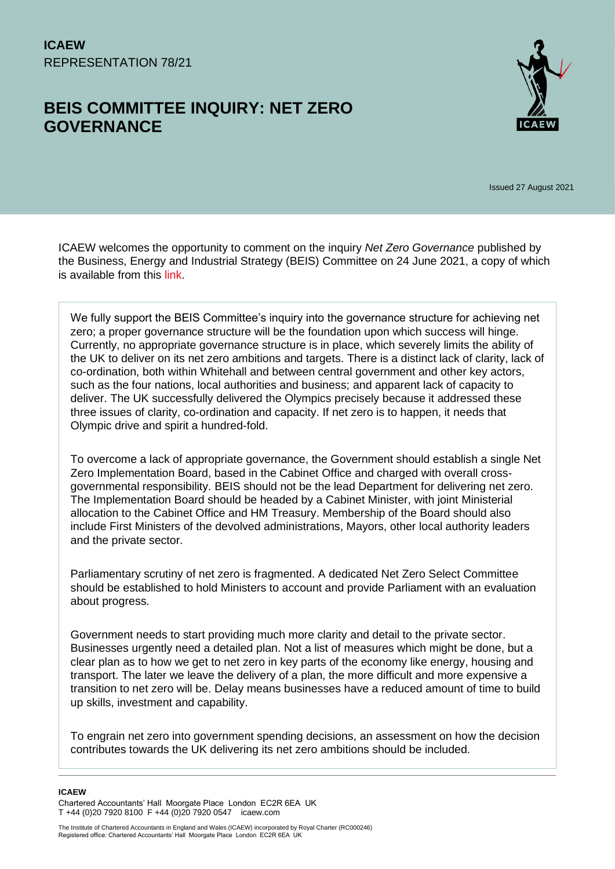# **BEIS COMMITTEE INQUIRY: NET ZERO GOVERNANCE**



Issued 27 August 2021

ICAEW welcomes the opportunity to comment on the inquiry *Net Zero Governance* published by the Business, Energy and Industrial Strategy (BEIS) Committee on 24 June 2021, a copy of which is available from this [link.](https://committees.parliament.uk/committee/365/business-energy-and-industrial-strategy-committee/news/156094/climate-change-how-can-the-government-get-to-net-zero/)

We fully support the BEIS Committee's inquiry into the governance structure for achieving net zero; a proper governance structure will be the foundation upon which success will hinge. Currently, no appropriate governance structure is in place, which severely limits the ability of the UK to deliver on its net zero ambitions and targets. There is a distinct lack of clarity, lack of co-ordination, both within Whitehall and between central government and other key actors, such as the four nations, local authorities and business; and apparent lack of capacity to deliver. The UK successfully delivered the Olympics precisely because it addressed these three issues of clarity, co-ordination and capacity. If net zero is to happen, it needs that Olympic drive and spirit a hundred-fold.

To overcome a lack of appropriate governance, the Government should establish a single Net Zero Implementation Board, based in the Cabinet Office and charged with overall crossgovernmental responsibility. BEIS should not be the lead Department for delivering net zero. The Implementation Board should be headed by a Cabinet Minister, with joint Ministerial allocation to the Cabinet Office and HM Treasury. Membership of the Board should also include First Ministers of the devolved administrations, Mayors, other local authority leaders and the private sector.

Parliamentary scrutiny of net zero is fragmented. A dedicated Net Zero Select Committee should be established to hold Ministers to account and provide Parliament with an evaluation about progress.

Government needs to start providing much more clarity and detail to the private sector. Businesses urgently need a detailed plan. Not a list of measures which might be done, but a clear plan as to how we get to net zero in key parts of the economy like energy, housing and transport. The later we leave the delivery of a plan, the more difficult and more expensive a transition to net zero will be. Delay means businesses have a reduced amount of time to build up skills, investment and capability.

To engrain net zero into government spending decisions, an assessment on how the decision contributes towards the UK delivering its net zero ambitions should be included.

**ICAEW** 

Chartered Accountants' Hall Moorgate Place London EC2R 6EA UK T +44 (0)20 7920 8100 F +44 (0)20 7920 0547 icaew.com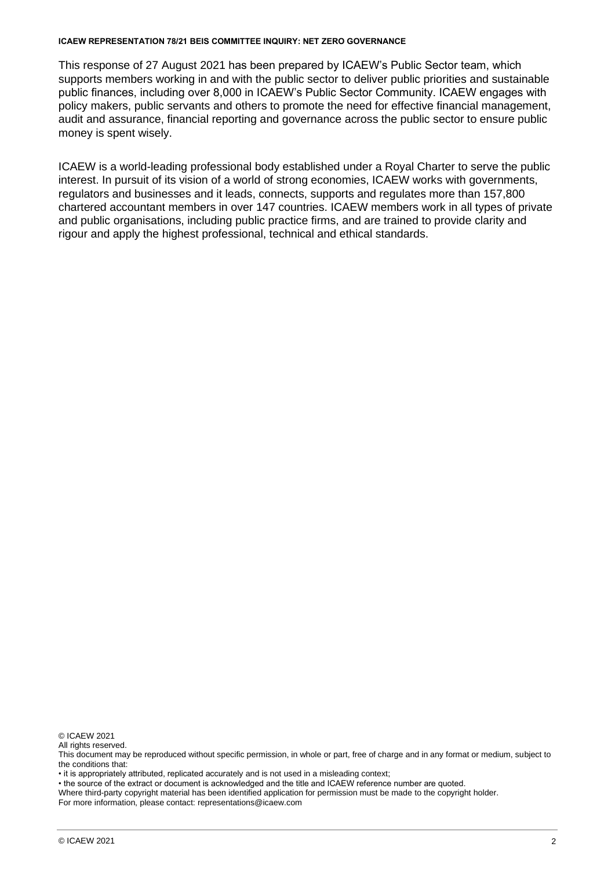#### **ICAEW REPRESENTATION 78/21 BEIS COMMITTEE INQUIRY: NET ZERO GOVERNANCE**

This response of 27 August 2021 has been prepared by ICAEW's Public Sector team, which supports members working in and with the public sector to deliver public priorities and sustainable public finances, including over 8,000 in ICAEW's Public Sector Community. ICAEW engages with policy makers, public servants and others to promote the need for effective financial management, audit and assurance, financial reporting and governance across the public sector to ensure public money is spent wisely.

ICAEW is a world-leading professional body established under a Royal Charter to serve the public interest. In pursuit of its vision of a world of strong economies, ICAEW works with governments, regulators and businesses and it leads, connects, supports and regulates more than 157,800 chartered accountant members in over 147 countries. ICAEW members work in all types of private and public organisations, including public practice firms, and are trained to provide clarity and rigour and apply the highest professional, technical and ethical standards.

© ICAEW 2021

All rights reserved

This document may be reproduced without specific permission, in whole or part, free of charge and in any format or medium, subject to the conditions that:

• it is appropriately attributed, replicated accurately and is not used in a misleading context;

• the source of the extract or document is acknowledged and the title and ICAEW reference number are quoted.

Where third-party copyright material has been identified application for permission must be made to the copyright holder.

For more information, please contact: representations@icaew.com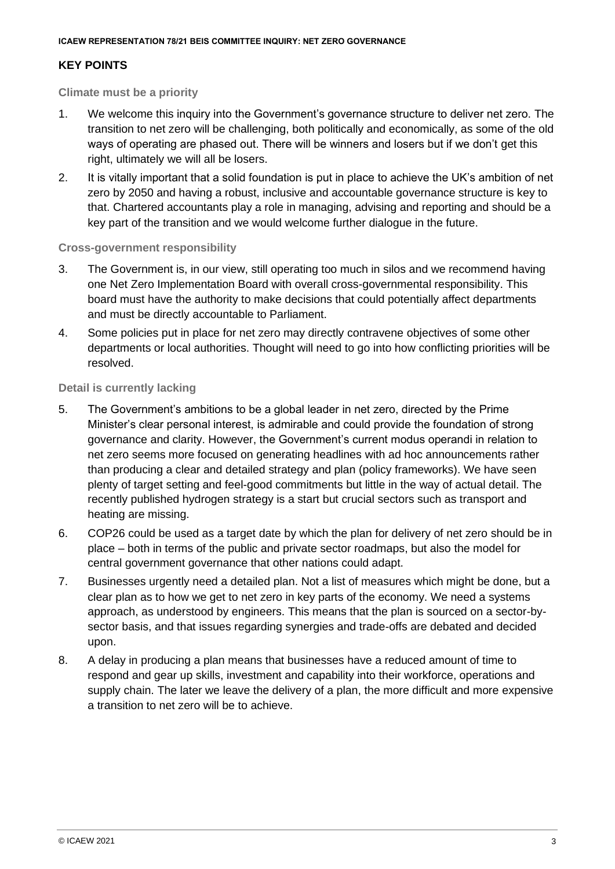# **KEY POINTS**

## **Climate must be a priority**

- 1. We welcome this inquiry into the Government's governance structure to deliver net zero. The transition to net zero will be challenging, both politically and economically, as some of the old ways of operating are phased out. There will be winners and losers but if we don't get this right, ultimately we will all be losers.
- 2. It is vitally important that a solid foundation is put in place to achieve the UK's ambition of net zero by 2050 and having a robust, inclusive and accountable governance structure is key to that. Chartered accountants play a role in managing, advising and reporting and should be a key part of the transition and we would welcome further dialogue in the future.

## **Cross-government responsibility**

- 3. The Government is, in our view, still operating too much in silos and we recommend having one Net Zero Implementation Board with overall cross-governmental responsibility. This board must have the authority to make decisions that could potentially affect departments and must be directly accountable to Parliament.
- 4. Some policies put in place for net zero may directly contravene objectives of some other departments or local authorities. Thought will need to go into how conflicting priorities will be resolved.

## **Detail is currently lacking**

- 5. The Government's ambitions to be a global leader in net zero, directed by the Prime Minister's clear personal interest, is admirable and could provide the foundation of strong governance and clarity. However, the Government's current modus operandi in relation to net zero seems more focused on generating headlines with ad hoc announcements rather than producing a clear and detailed strategy and plan (policy frameworks). We have seen plenty of target setting and feel-good commitments but little in the way of actual detail. The recently published hydrogen strategy is a start but crucial sectors such as transport and heating are missing.
- 6. COP26 could be used as a target date by which the plan for delivery of net zero should be in place – both in terms of the public and private sector roadmaps, but also the model for central government governance that other nations could adapt.
- 7. Businesses urgently need a detailed plan. Not a list of measures which might be done, but a clear plan as to how we get to net zero in key parts of the economy. We need a systems approach, as understood by engineers. This means that the plan is sourced on a sector-bysector basis, and that issues regarding synergies and trade-offs are debated and decided upon.
- 8. A delay in producing a plan means that businesses have a reduced amount of time to respond and gear up skills, investment and capability into their workforce, operations and supply chain. The later we leave the delivery of a plan, the more difficult and more expensive a transition to net zero will be to achieve.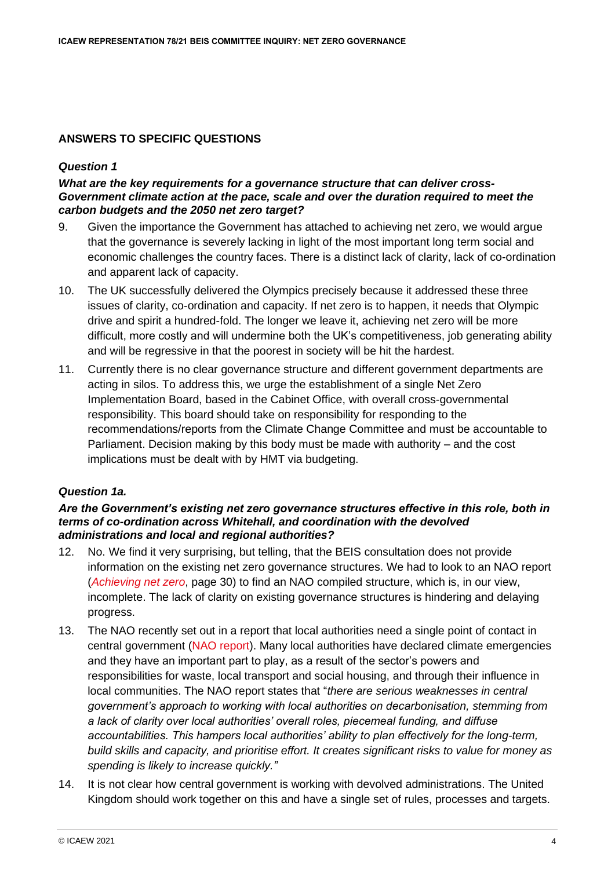# **ANSWERS TO SPECIFIC QUESTIONS**

#### *Question 1*

#### *What are the key requirements for a governance structure that can deliver cross-Government climate action at the pace, scale and over the duration required to meet the carbon budgets and the 2050 net zero target?*

- 9. Given the importance the Government has attached to achieving net zero, we would argue that the governance is severely lacking in light of the most important long term social and economic challenges the country faces. There is a distinct lack of clarity, lack of co-ordination and apparent lack of capacity.
- 10. The UK successfully delivered the Olympics precisely because it addressed these three issues of clarity, co-ordination and capacity. If net zero is to happen, it needs that Olympic drive and spirit a hundred-fold. The longer we leave it, achieving net zero will be more difficult, more costly and will undermine both the UK's competitiveness, job generating ability and will be regressive in that the poorest in society will be hit the hardest.
- 11. Currently there is no clear governance structure and different government departments are acting in silos. To address this, we urge the establishment of a single Net Zero Implementation Board, based in the Cabinet Office, with overall cross-governmental responsibility. This board should take on responsibility for responding to the recommendations/reports from the Climate Change Committee and must be accountable to Parliament. Decision making by this body must be made with authority – and the cost implications must be dealt with by HMT via budgeting.

# *Question 1a.*

#### *Are the Government's existing net zero governance structures effective in this role, both in terms of co-ordination across Whitehall, and coordination with the devolved administrations and local and regional authorities?*

- 12. No. We find it very surprising, but telling, that the BEIS consultation does not provide information on the existing net zero governance structures. We had to look to an NAO report (*[Achieving net zero](https://www.nao.org.uk/wp-content/uploads/2020/12/Achieving-net-zero.pdf)*, page 30) to find an NAO compiled structure, which is, in our view, incomplete. The lack of clarity on existing governance structures is hindering and delaying progress.
- 13. The NAO recently set out in a report that local authorities need a single point of contact in central government [\(NAO report\).](https://www.nao.org.uk/report/local-government-and-net-zero-in-england/) Many local authorities have declared climate emergencies and they have an important part to play, as a result of the sector's powers and responsibilities for waste, local transport and social housing, and through their influence in local communities. The NAO report states that "*there are serious weaknesses in central government's approach to working with local authorities on decarbonisation, stemming from a lack of clarity over local authorities' overall roles, piecemeal funding, and diffuse accountabilities. This hampers local authorities' ability to plan effectively for the long-term, build skills and capacity, and prioritise effort. It creates significant risks to value for money as spending is likely to increase quickly."*
- 14. It is not clear how central government is working with devolved administrations. The United Kingdom should work together on this and have a single set of rules, processes and targets.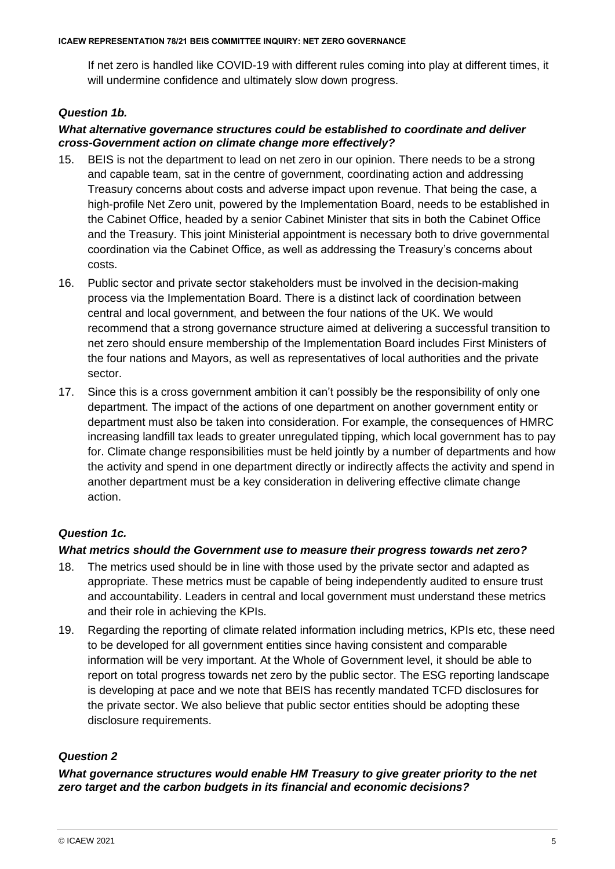If net zero is handled like COVID-19 with different rules coming into play at different times, it will undermine confidence and ultimately slow down progress.

# *Question 1b.*

# *What alternative governance structures could be established to coordinate and deliver cross-Government action on climate change more effectively?*

- 15. BEIS is not the department to lead on net zero in our opinion. There needs to be a strong and capable team, sat in the centre of government, coordinating action and addressing Treasury concerns about costs and adverse impact upon revenue. That being the case, a high-profile Net Zero unit, powered by the Implementation Board, needs to be established in the Cabinet Office, headed by a senior Cabinet Minister that sits in both the Cabinet Office and the Treasury. This joint Ministerial appointment is necessary both to drive governmental coordination via the Cabinet Office, as well as addressing the Treasury's concerns about costs.
- 16. Public sector and private sector stakeholders must be involved in the decision-making process via the Implementation Board. There is a distinct lack of coordination between central and local government, and between the four nations of the UK. We would recommend that a strong governance structure aimed at delivering a successful transition to net zero should ensure membership of the Implementation Board includes First Ministers of the four nations and Mayors, as well as representatives of local authorities and the private sector.
- 17. Since this is a cross government ambition it can't possibly be the responsibility of only one department. The impact of the actions of one department on another government entity or department must also be taken into consideration. For example, the consequences of HMRC increasing landfill tax leads to greater unregulated tipping, which local government has to pay for. Climate change responsibilities must be held jointly by a number of departments and how the activity and spend in one department directly or indirectly affects the activity and spend in another department must be a key consideration in delivering effective climate change action.

# *Question 1c.*

# *What metrics should the Government use to measure their progress towards net zero?*

- 18. The metrics used should be in line with those used by the private sector and adapted as appropriate. These metrics must be capable of being independently audited to ensure trust and accountability. Leaders in central and local government must understand these metrics and their role in achieving the KPIs.
- 19. Regarding the reporting of climate related information including metrics, KPIs etc, these need to be developed for all government entities since having consistent and comparable information will be very important. At the Whole of Government level, it should be able to report on total progress towards net zero by the public sector. The ESG reporting landscape is developing at pace and we note that BEIS has recently mandated TCFD disclosures for the private sector. We also believe that public sector entities should be adopting these disclosure requirements.

# *Question 2*

*What governance structures would enable HM Treasury to give greater priority to the net zero target and the carbon budgets in its financial and economic decisions?*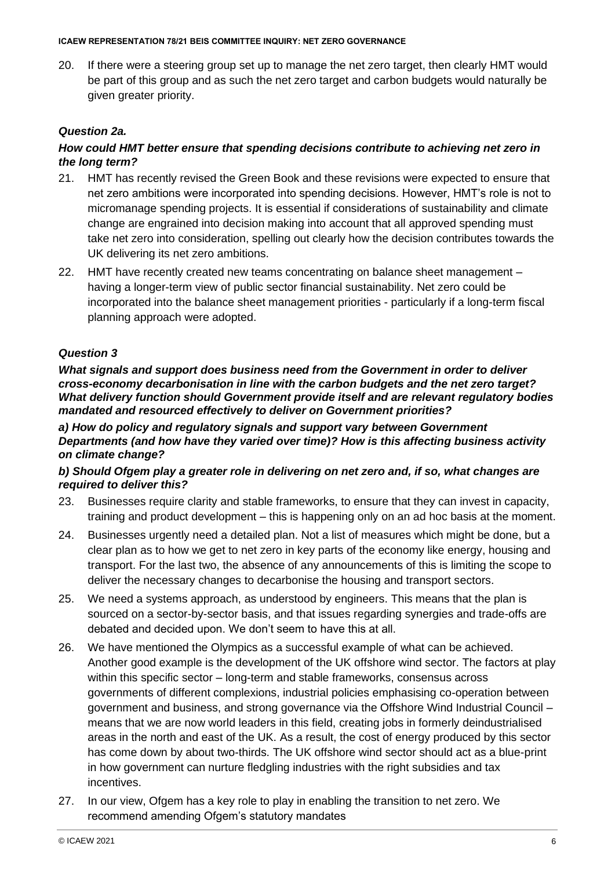#### **ICAEW REPRESENTATION 78/21 BEIS COMMITTEE INQUIRY: NET ZERO GOVERNANCE**

20. If there were a steering group set up to manage the net zero target, then clearly HMT would be part of this group and as such the net zero target and carbon budgets would naturally be given greater priority.

# *Question 2a.*

# *How could HMT better ensure that spending decisions contribute to achieving net zero in the long term?*

- 21. HMT has recently revised the Green Book and these revisions were expected to ensure that net zero ambitions were incorporated into spending decisions. However, HMT's role is not to micromanage spending projects. It is essential if considerations of sustainability and climate change are engrained into decision making into account that all approved spending must take net zero into consideration, spelling out clearly how the decision contributes towards the UK delivering its net zero ambitions.
- 22. HMT have recently created new teams concentrating on balance sheet management having a longer-term view of public sector financial sustainability. Net zero could be incorporated into the balance sheet management priorities - particularly if a long-term fiscal planning approach were adopted.

## *Question 3*

*What signals and support does business need from the Government in order to deliver cross-economy decarbonisation in line with the carbon budgets and the net zero target? What delivery function should Government provide itself and are relevant regulatory bodies mandated and resourced effectively to deliver on Government priorities?*

*a) How do policy and regulatory signals and support vary between Government Departments (and how have they varied over time)? How is this affecting business activity on climate change?*

## *b) Should Ofgem play a greater role in delivering on net zero and, if so, what changes are required to deliver this?*

- 23. Businesses require clarity and stable frameworks, to ensure that they can invest in capacity, training and product development – this is happening only on an ad hoc basis at the moment.
- 24. Businesses urgently need a detailed plan. Not a list of measures which might be done, but a clear plan as to how we get to net zero in key parts of the economy like energy, housing and transport. For the last two, the absence of any announcements of this is limiting the scope to deliver the necessary changes to decarbonise the housing and transport sectors.
- 25. We need a systems approach, as understood by engineers. This means that the plan is sourced on a sector-by-sector basis, and that issues regarding synergies and trade-offs are debated and decided upon. We don't seem to have this at all.
- 26. We have mentioned the Olympics as a successful example of what can be achieved. Another good example is the development of the UK offshore wind sector. The factors at play within this specific sector – long-term and stable frameworks, consensus across governments of different complexions, industrial policies emphasising co-operation between government and business, and strong governance via the Offshore Wind Industrial Council – means that we are now world leaders in this field, creating jobs in formerly deindustrialised areas in the north and east of the UK. As a result, the cost of energy produced by this sector has come down by about two-thirds. The UK offshore wind sector should act as a blue-print in how government can nurture fledgling industries with the right subsidies and tax incentives.
- 27. In our view, Ofgem has a key role to play in enabling the transition to net zero. We recommend amending Ofgem's statutory mandates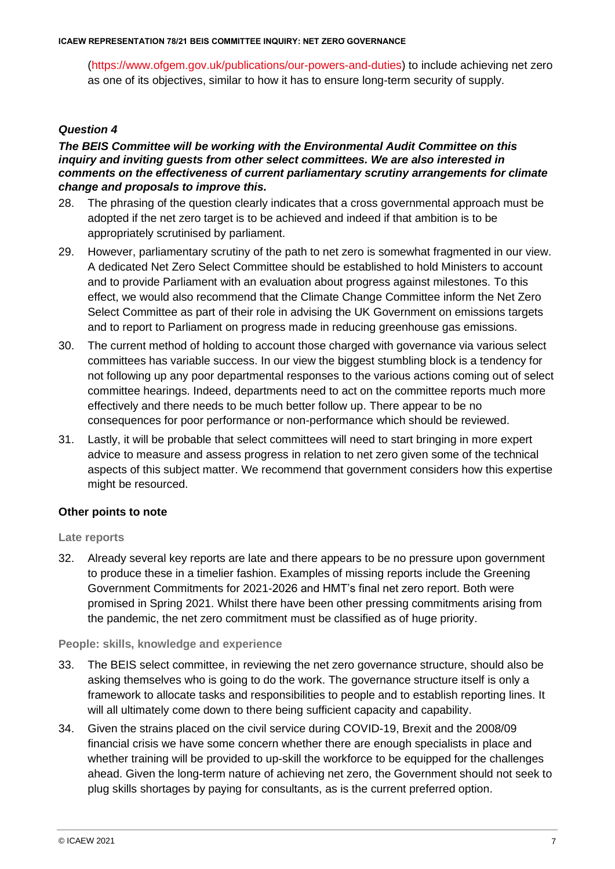[\(https://www.ofgem.gov.uk/publications/our-powers-and-duties\)](https://www.ofgem.gov.uk/publications/our-powers-and-duties) to include achieving net zero as one of its objectives, similar to how it has to ensure long-term security of supply.

# *Question 4*

#### *The BEIS Committee will be working with the Environmental Audit Committee on this inquiry and inviting guests from other select committees. We are also interested in comments on the effectiveness of current parliamentary scrutiny arrangements for climate change and proposals to improve this.*

- 28. The phrasing of the question clearly indicates that a cross governmental approach must be adopted if the net zero target is to be achieved and indeed if that ambition is to be appropriately scrutinised by parliament.
- 29. However, parliamentary scrutiny of the path to net zero is somewhat fragmented in our view. A dedicated Net Zero Select Committee should be established to hold Ministers to account and to provide Parliament with an evaluation about progress against milestones. To this effect, we would also recommend that the Climate Change Committee inform the Net Zero Select Committee as part of their role in advising the UK Government on emissions targets and to report to Parliament on progress made in reducing greenhouse gas emissions.
- 30. The current method of holding to account those charged with governance via various select committees has variable success. In our view the biggest stumbling block is a tendency for not following up any poor departmental responses to the various actions coming out of select committee hearings. Indeed, departments need to act on the committee reports much more effectively and there needs to be much better follow up. There appear to be no consequences for poor performance or non-performance which should be reviewed.
- 31. Lastly, it will be probable that select committees will need to start bringing in more expert advice to measure and assess progress in relation to net zero given some of the technical aspects of this subject matter. We recommend that government considers how this expertise might be resourced.

# **Other points to note**

#### **Late reports**

32. Already several key reports are late and there appears to be no pressure upon government to produce these in a timelier fashion. Examples of missing reports include the Greening Government Commitments for 2021-2026 and HMT's final net zero report. Both were promised in Spring 2021. Whilst there have been other pressing commitments arising from the pandemic, the net zero commitment must be classified as of huge priority.

#### **People: skills, knowledge and experience**

- 33. The BEIS select committee, in reviewing the net zero governance structure, should also be asking themselves who is going to do the work. The governance structure itself is only a framework to allocate tasks and responsibilities to people and to establish reporting lines. It will all ultimately come down to there being sufficient capacity and capability.
- 34. Given the strains placed on the civil service during COVID-19, Brexit and the 2008/09 financial crisis we have some concern whether there are enough specialists in place and whether training will be provided to up-skill the workforce to be equipped for the challenges ahead. Given the long-term nature of achieving net zero, the Government should not seek to plug skills shortages by paying for consultants, as is the current preferred option.